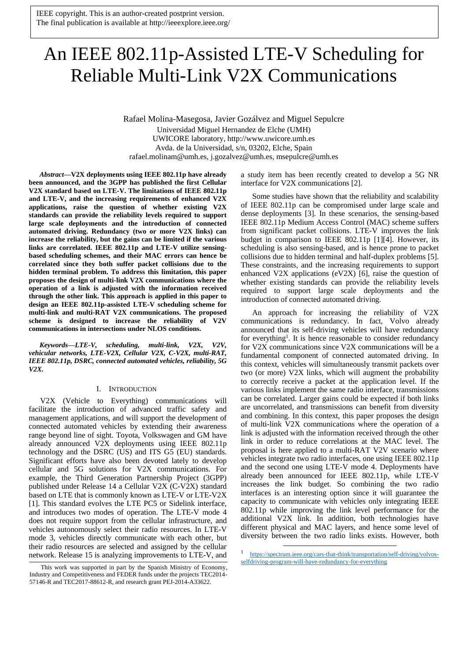# An IEEE 802.11p-Assisted LTE-V Scheduling for Reliable Multi-Link V2X Communications

Rafael Molina-Masegosa, Javier Gozálvez and Miguel Sepulcre Universidad Miguel Hernandez de Elche (UMH) UWICORE laboratory, http://www.uwicore.umh.es Avda. de la Universidad, s/n, 03202, Elche, Spain rafael.molinam@umh.es, j.gozalvez@umh.es, msepulcre@umh.es

*Abstract***—V2X deployments using IEEE 802.11p have already been announced, and the 3GPP has published the first Cellular V2X standard based on LTE-V. The limitations of IEEE 802.11p and LTE-V, and the increasing requirements of enhanced V2X applications, raise the question of whether existing V2X standards can provide the reliability levels required to support large scale deployments and the introduction of connected automated driving. Redundancy (two or more V2X links) can increase the reliability, but the gains can be limited if the various links are correlated. IEEE 802.11p and LTE-V utilize sensingbased scheduling schemes, and their MAC errors can hence be correlated since they both suffer packet collisions due to the hidden terminal problem. To address this limitation, this paper proposes the design of multi-link V2X communications where the operation of a link is adjusted with the information received through the other link. This approach is applied in this paper to design an IEEE 802.11p-assisted LTE-V scheduling scheme for multi-link and multi-RAT V2X communications. The proposed scheme is designed to increase the reliability of V2V communications in intersections under NLOS conditions.**

*Keywords—LTE-V, scheduling, multi-link, V2X, V2V, vehicular networks, LTE-V2X, Cellular V2X, C-V2X, multi-RAT, IEEE 802.11p, DSRC, connected automated vehicles, reliability, 5G V2X.*

## I. INTRODUCTION

V2X (Vehicle to Everything) communications will facilitate the introduction of advanced traffic safety and management applications, and will support the development of connected automated vehicles by extending their awareness range beyond line of sight. Toyota, Volkswagen and GM have already announced V2X deployments using IEEE 802.11p technology and the DSRC (US) and ITS G5 (EU) standards. Significant efforts have also been devoted lately to develop cellular and 5G solutions for V2X communications. For example, the Third Generation Partnership Project (3GPP) published under Release 14 a Cellular V2X (C-V2X) standard based on LTE that is commonly known as LTE-V or LTE-V2X [1]. This standard evolves the LTE PC5 or Sidelink interface, and introduces two modes of operation. The LTE-V mode 4 does not require support from the cellular infrastructure, and vehicles autonomously select their radio resources. In LTE-V mode 3, vehicles directly communicate with each other, but their radio resources are selected and assigned by the cellular network. Release 15 is analyzing improvements to LTE-V, and a study item has been recently created to develop a 5G NR interface for V2X communications [2].

Some studies have shown that the reliability and scalability of IEEE 802.11p can be compromised under large scale and dense deployments [3]. In these scenarios, the sensing-based IEEE 802.11p Medium Access Control (MAC) scheme suffers from significant packet collisions. LTE-V improves the link budget in comparison to IEEE 802.11p [1][4]. However, its scheduling is also sensing-based, and is hence prone to packet collisions due to hidden terminal and half-duplex problems [5]. These constraints, and the increasing requirements to support enhanced V2X applications (eV2X) [6], raise the question of whether existing standards can provide the reliability levels required to support large scale deployments and the introduction of connected automated driving.

An approach for increasing the reliability of V2X communications is redundancy. In fact, Volvo already announced that its self-driving vehicles will have redundancy for everything<sup>1</sup>. It is hence reasonable to consider redundancy for V2X communications since V2X communications will be a fundamental component of connected automated driving. In this context, vehicles will simultaneously transmit packets over two (or more) V2X links, which will augment the probability to correctly receive a packet at the application level. If the various links implement the same radio interface, transmissions can be correlated. Larger gains could be expected if both links are uncorrelated, and transmissions can benefit from diversity and combining. In this context, this paper proposes the design of multi-link V2X communications where the operation of a link is adjusted with the information received through the other link in order to reduce correlations at the MAC level. The proposal is here applied to a multi-RAT V2V scenario where vehicles integrate two radio interfaces, one using IEEE 802.11p and the second one using LTE-V mode 4. Deployments have already been announced for IEEE 802.11p, while LTE-V increases the link budget. So combining the two radio interfaces is an interesting option since it will guarantee the capacity to communicate with vehicles only integrating IEEE 802.11p while improving the link level performance for the additional V2X link. In addition, both technologies have different physical and MAC layers, and hence some level of diversity between the two radio links exists. However, both

1

This work was supported in part by the Spanish Ministry of Economy, Industry and Competitiveness and FEDER funds under the projects TEC2014- 57146-R and TEC2017-88612-R, and research grant PEJ-2014-A33622.

<sup>&</sup>lt;sup>1</sup> [https://spectrum.ieee.org/cars-that-think/transportation/self-driving/volvos](https://spectrum.ieee.org/cars-that-think/transportation/self-driving/volvos-selfdriving-program-will-have-redundancy-for-everything)[selfdriving-program-will-have-redundancy-for-everything](https://spectrum.ieee.org/cars-that-think/transportation/self-driving/volvos-selfdriving-program-will-have-redundancy-for-everything)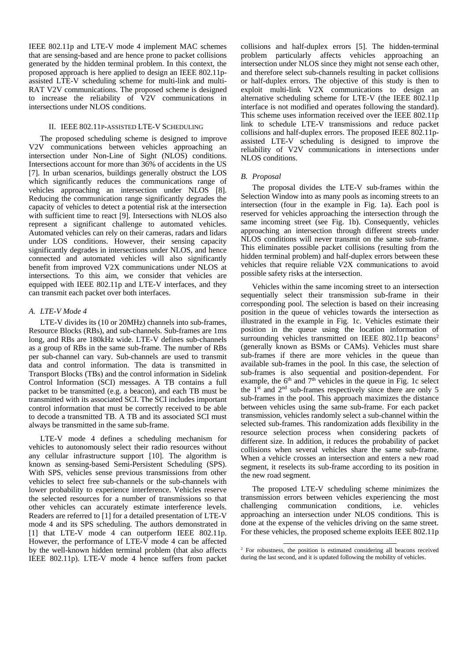IEEE 802.11p and LTE-V mode 4 implement MAC schemes that are sensing-based and are hence prone to packet collisions generated by the hidden terminal problem. In this context, the proposed approach is here applied to design an IEEE 802.11passisted LTE-V scheduling scheme for multi-link and multi-RAT V2V communications. The proposed scheme is designed to increase the reliability of V2V communications in intersections under NLOS conditions.

## II. IEEE 802.11P-ASSISTED LTE-V SCHEDULING

The proposed scheduling scheme is designed to improve V2V communications between vehicles approaching an intersection under Non-Line of Sight (NLOS) conditions. Intersections account for more than 36% of accidents in the US [7]. In urban scenarios, buildings generally obstruct the LOS which significantly reduces the communications range of vehicles approaching an intersection under NLOS [8]. Reducing the communication range significantly degrades the capacity of vehicles to detect a potential risk at the intersection with sufficient time to react [9]. Intersections with NLOS also represent a significant challenge to automated vehicles. Automated vehicles can rely on their cameras, radars and lidars under LOS conditions. However, their sensing capacity significantly degrades in intersections under NLOS, and hence connected and automated vehicles will also significantly benefit from improved V2X communications under NLOS at intersections. To this aim, we consider that vehicles are equipped with IEEE 802.11p and LTE-V interfaces, and they can transmit each packet over both interfaces.

## *A. LTE-V Mode 4*

LTE-V divides its (10 or 20MHz) channels into sub-frames, Resource Blocks (RBs), and sub-channels. Sub-frames are 1ms long, and RBs are 180kHz wide. LTE-V defines sub-channels as a group of RBs in the same sub-frame. The number of RBs per sub-channel can vary. Sub-channels are used to transmit data and control information. The data is transmitted in Transport Blocks (TBs) and the control information in Sidelink Control Information (SCI) messages. A TB contains a full packet to be transmitted (e.g. a beacon), and each TB must be transmitted with its associated SCI. The SCI includes important control information that must be correctly received to be able to decode a transmitted TB. A TB and its associated SCI must always be transmitted in the same sub-frame.

LTE-V mode 4 defines a scheduling mechanism for vehicles to autonomously select their radio resources without any cellular infrastructure support [10]. The algorithm is known as sensing-based Semi-Persistent Scheduling (SPS). With SPS, vehicles sense previous transmissions from other vehicles to select free sub-channels or the sub-channels with lower probability to experience interference. Vehicles reserve the selected resources for a number of transmissions so that other vehicles can accurately estimate interference levels. Readers are referred to [1] for a detailed presentation of LTE-V mode 4 and its SPS scheduling. The authors demonstrated in [1] that LTE-V mode 4 can outperform IEEE 802.11p. However, the performance of LTE-V mode 4 can be affected by the well-known hidden terminal problem (that also affects IEEE 802.11p). LTE-V mode 4 hence suffers from packet collisions and half-duplex errors [5]. The hidden-terminal problem particularly affects vehicles approaching an intersection under NLOS since they might not sense each other, and therefore select sub-channels resulting in packet collisions or half-duplex errors. The objective of this study is then to exploit multi-link V2X communications to design an alternative scheduling scheme for LTE-V (the IEEE 802.11p interface is not modified and operates following the standard). This scheme uses information received over the IEEE 802.11p link to schedule LTE-V transmissions and reduce packet collisions and half-duplex errors. The proposed IEEE 802.11passisted LTE-V scheduling is designed to improve the reliability of V2V communications in intersections under NLOS conditions.

## *B. Proposal*

The proposal divides the LTE-V sub-frames within the Selection Window into as many pools as incoming streets to an intersection (four in the example in Fig. 1a). Each pool is reserved for vehicles approaching the intersection through the same incoming street (see Fig. 1b). Consequently, vehicles approaching an intersection through different streets under NLOS conditions will never transmit on the same sub-frame. This eliminates possible packet collisions (resulting from the hidden terminal problem) and half-duplex errors between these vehicles that require reliable V2X communications to avoid possible safety risks at the intersection.

Vehicles within the same incoming street to an intersection sequentially select their transmission sub-frame in their corresponding pool. The selection is based on their increasing position in the queue of vehicles towards the intersection as illustrated in the example in Fig. 1c. Vehicles estimate their position in the queue using the location information of surrounding vehicles transmitted on IEEE 802.11p beacons<sup>2</sup> (generally known as BSMs or CAMs). Vehicles must share sub-frames if there are more vehicles in the queue than available sub-frames in the pool. In this case, the selection of sub-frames is also sequential and position-dependent. For example, the  $6<sup>th</sup>$  and  $7<sup>th</sup>$  vehicles in the queue in Fig. 1c select the  $1<sup>st</sup>$  and  $2<sup>nd</sup>$  sub-frames respectively since there are only 5 sub-frames in the pool. This approach maximizes the distance between vehicles using the same sub-frame. For each packet transmission, vehicles randomly select a sub-channel within the selected sub-frames. This randomization adds flexibility in the resource selection process when considering packets of different size. In addition, it reduces the probability of packet collisions when several vehicles share the same sub-frame. When a vehicle crosses an intersection and enters a new road segment, it reselects its sub-frame according to its position in the new road segment.

The proposed LTE-V scheduling scheme minimizes the transmission errors between vehicles experiencing the most challenging communication conditions, i.e. vehicles approaching an intersection under NLOS conditions. This is done at the expense of the vehicles driving on the same street. For these vehicles, the proposed scheme exploits IEEE 802.11p

<sup>1</sup> <sup>2</sup> For robustness, the position is estimated considering all beacons received during the last second, and it is updated following the mobility of vehicles.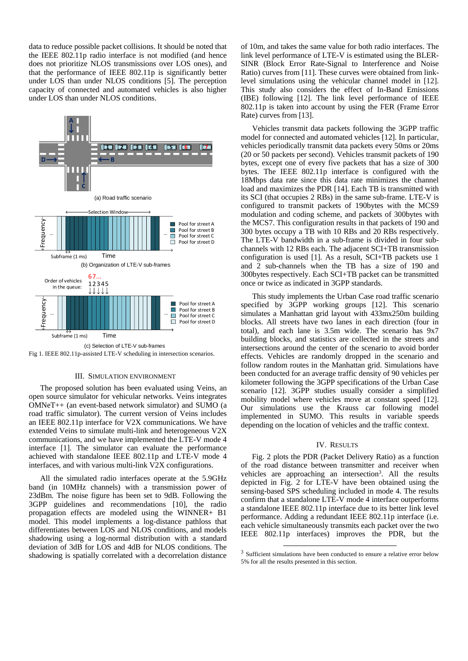data to reduce possible packet collisions. It should be noted that the IEEE 802.11p radio interface is not modified (and hence does not prioritize NLOS transmissions over LOS ones), and that the performance of IEEE 802.11p is significantly better under LOS than under NLOS conditions [5]. The perception capacity of connected and automated vehicles is also higher under LOS than under NLOS conditions.



Fig 1. IEEE 802.11p-assisted LTE-V scheduling in intersection scenarios.

### III. SIMULATION ENVIRONMENT

The proposed solution has been evaluated using Veins, an open source simulator for vehicular networks. Veins integrates OMNeT++ (an event-based network simulator) and SUMO (a road traffic simulator). The current version of Veins includes an IEEE 802.11p interface for V2X communications. We have extended Veins to simulate multi-link and heterogeneous V2X communications, and we have implemented the LTE-V mode 4 interface [1]. The simulator can evaluate the performance achieved with standalone IEEE 802.11p and LTE-V mode 4 interfaces, and with various multi-link V2X configurations.

All the simulated radio interfaces operate at the 5.9GHz band (in 10MHz channels) with a transmission power of 23dBm. The noise figure has been set to 9dB. Following the 3GPP guidelines and recommendations [10], the radio propagation effects are modeled using the WINNER+ B1 model. This model implements a log-distance pathloss that differentiates between LOS and NLOS conditions, and models shadowing using a log-normal distribution with a standard deviation of 3dB for LOS and 4dB for NLOS conditions. The shadowing is spatially correlated with a decorrelation distance

of 10m, and takes the same value for both radio interfaces. The link level performance of LTE-V is estimated using the BLER-SINR (Block Error Rate-Signal to Interference and Noise Ratio) curves from [11]. These curves were obtained from linklevel simulations using the vehicular channel model in [12]. This study also considers the effect of In-Band Emissions (IBE) following [12]. The link level performance of IEEE 802.11p is taken into account by using the FER (Frame Error Rate) curves from [13].

Vehicles transmit data packets following the 3GPP traffic model for connected and automated vehicles [12]. In particular, vehicles periodically transmit data packets every 50ms or 20ms (20 or 50 packets per second). Vehicles transmit packets of 190 bytes, except one of every five packets that has a size of 300 bytes. The IEEE 802.11p interface is configured with the 18Mbps data rate since this data rate minimizes the channel load and maximizes the PDR [14]. Each TB is transmitted with its SCI (that occupies 2 RBs) in the same sub-frame. LTE-V is configured to transmit packets of 190bytes with the MCS9 modulation and coding scheme, and packets of 300bytes with the MCS7. This configuration results in that packets of 190 and 300 bytes occupy a TB with 10 RBs and 20 RBs respectively. The LTE-V bandwidth in a sub-frame is divided in four subchannels with 12 RBs each. The adjacent SCI+TB transmission configuration is used [1]. As a result, SCI+TB packets use 1 and 2 sub-channels when the TB has a size of 190 and 300bytes respectively. Each SCI+TB packet can be transmitted once or twice as indicated in 3GPP standards.

This study implements the Urban Case road traffic scenario specified by 3GPP working groups [12]. This scenario simulates a Manhattan grid layout with 433mx250m building blocks. All streets have two lanes in each direction (four in total), and each lane is 3.5m wide. The scenario has 9x7 building blocks, and statistics are collected in the streets and intersections around the center of the scenario to avoid border effects. Vehicles are randomly dropped in the scenario and follow random routes in the Manhattan grid. Simulations have been conducted for an average traffic density of 90 vehicles per kilometer following the 3GPP specifications of the Urban Case scenario [12]. 3GPP studies usually consider a simplified mobility model where vehicles move at constant speed [12]. Our simulations use the Krauss car following model implemented in SUMO. This results in variable speeds depending on the location of vehicles and the traffic context.

#### IV. RESULTS

Fig. 2 plots the PDR (Packet Delivery Ratio) as a function of the road distance between transmitter and receiver when vehicles are approaching an intersection<sup>3</sup>. All the results depicted in Fig. 2 for LTE-V have been obtained using the sensing-based SPS scheduling included in mode 4. The results confirm that a standalone LTE-V mode 4 interface outperforms a standalone IEEE 802.11p interface due to its better link level performance. Adding a redundant IEEE 802.11p interface (i.e. each vehicle simultaneously transmits each packet over the two IEEE 802.11p interfaces) improves the PDR, but the

1

<sup>&</sup>lt;sup>3</sup> Sufficient simulations have been conducted to ensure a relative error below 5% for all the results presented in this section.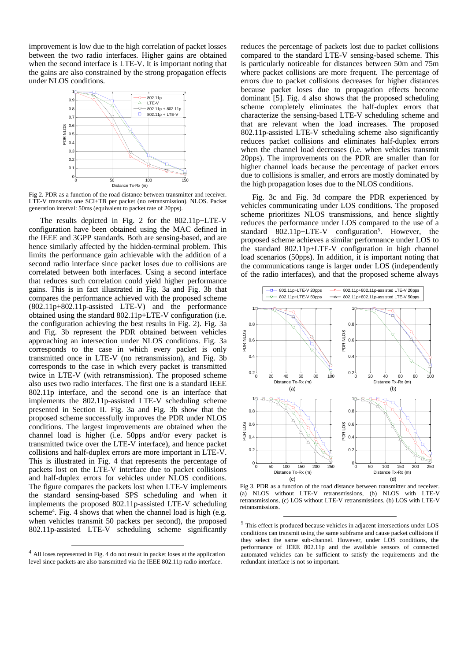improvement is low due to the high correlation of packet losses between the two radio interfaces. Higher gains are obtained when the second interface is LTE-V. It is important noting that the gains are also constrained by the strong propagation effects under NLOS conditions.



Fig 2. PDR as a function of the road distance between transmitter and receiver. LTE-V transmits one SCI+TB per packet (no retransmission). NLOS. Packet generation interval: 50ms (equivalent to packet rate of 20pps).

The results depicted in Fig. 2 for the 802.11p+LTE-V configuration have been obtained using the MAC defined in the IEEE and 3GPP standards. Both are sensing-based, and are hence similarly affected by the hidden-terminal problem. This limits the performance gain achievable with the addition of a second radio interface since packet loses due to collisions are correlated between both interfaces. Using a second interface that reduces such correlation could yield higher performance gains. This is in fact illustrated in Fig. 3a and Fig. 3b that compares the performance achieved with the proposed scheme (802.11p+802.11p-assisted LTE-V) and the performance obtained using the standard 802.11p+LTE-V configuration (i.e. the configuration achieving the best results in Fig. 2). Fig. 3a and Fig. 3b represent the PDR obtained between vehicles approaching an intersection under NLOS conditions. Fig. 3a corresponds to the case in which every packet is only transmitted once in LTE-V (no retransmission), and Fig. 3b corresponds to the case in which every packet is transmitted twice in LTE-V (with retransmission). The proposed scheme also uses two radio interfaces. The first one is a standard IEEE 802.11p interface, and the second one is an interface that implements the 802.11p-assisted LTE-V scheduling scheme presented in Section II. Fig. 3a and Fig. 3b show that the proposed scheme successfully improves the PDR under NLOS conditions. The largest improvements are obtained when the channel load is higher (i.e. 50pps and/or every packet is transmitted twice over the LTE-V interface), and hence packet collisions and half-duplex errors are more important in LTE-V. This is illustrated in Fig. 4 that represents the percentage of packets lost on the LTE-V interface due to packet collisions and half-duplex errors for vehicles under NLOS conditions. The figure compares the packets lost when LTE-V implements the standard sensing-based SPS scheduling and when it implements the proposed 802.11p-assisted LTE-V scheduling scheme<sup>4</sup>. Fig. 4 shows that when the channel load is high (e.g. when vehicles transmit 50 packets per second), the proposed 802.11p-assisted LTE-V scheduling scheme significantly

l

reduces the percentage of packets lost due to packet collisions compared to the standard LTE-V sensing-based scheme. This is particularly noticeable for distances between 50m and 75m where packet collisions are more frequent. The percentage of errors due to packet collisions decreases for higher distances because packet loses due to propagation effects become dominant [5]. Fig. 4 also shows that the proposed scheduling scheme completely eliminates the half-duplex errors that characterize the sensing-based LTE-V scheduling scheme and that are relevant when the load increases. The proposed 802.11p-assisted LTE-V scheduling scheme also significantly reduces packet collisions and eliminates half-duplex errors when the channel load decreases (i.e. when vehicles transmit 20pps). The improvements on the PDR are smaller than for higher channel loads because the percentage of packet errors due to collisions is smaller, and errors are mostly dominated by the high propagation loses due to the NLOS conditions.

Fig. 3c and Fig. 3d compare the PDR experienced by vehicles communicating under LOS conditions. The proposed scheme prioritizes NLOS transmissions, and hence slightly reduces the performance under LOS compared to the use of a standard 802.11p+LTE-V configuration<sup>5</sup>. However, the proposed scheme achieves a similar performance under LOS to the standard 802.11p+LTE-V configuration in high channel load scenarios (50pps). In addition, it is important noting that the communications range is larger under LOS (independently of the radio interfaces), and that the proposed scheme always



Fig 3. PDR as a function of the road distance between transmitter and receiver. (a) NLOS without LTE-V retransmissions, (b) NLOS with LTE-V retransmissions, (c) LOS without LTE-V retransmissions, (b) LOS with LTE-V retransmissions.

1

<sup>4</sup> All loses represented in Fig. 4 do not result in packet loses at the application level since packets are also transmitted via the IEEE 802.11p radio interface.

<sup>5</sup> This effect is produced because vehicles in adjacent intersections under LOS conditions can transmit using the same subframe and cause packet collisions if they select the same sub-channel. However, under LOS conditions, the performance of IEEE 802.11p and the available sensors of connected automated vehicles can be sufficient to satisfy the requirements and the redundant interface is not so important.